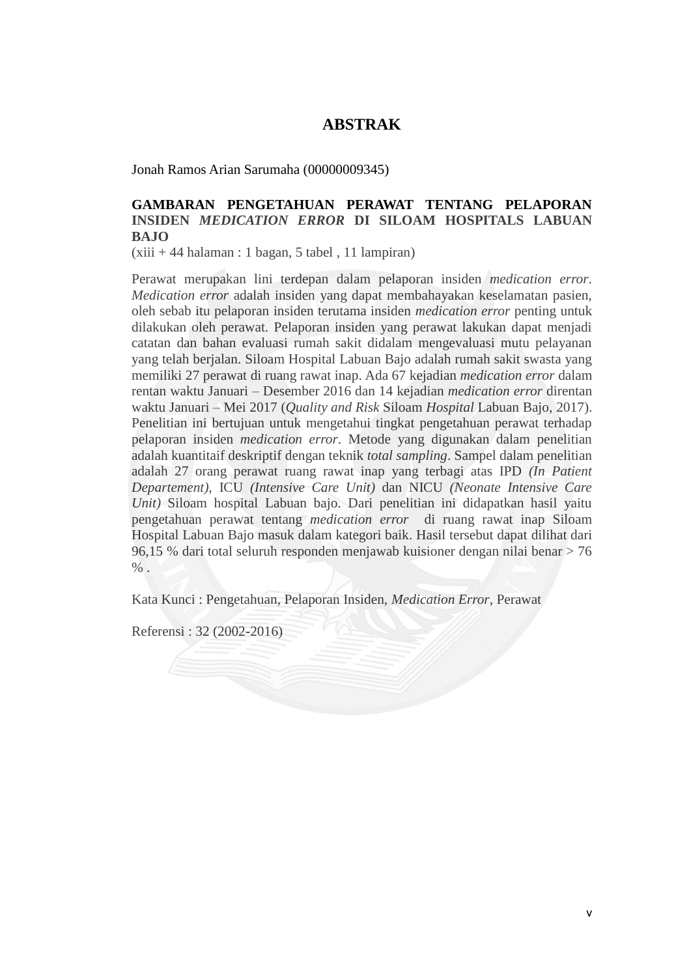## **ABSTRAK**

Jonah Ramos Arian Sarumaha (00000009345)

## **GAMBARAN PENGETAHUAN PERAWAT TENTANG PELAPORAN INSIDEN** *MEDICATION ERROR* **DI SILOAM HOSPITALS LABUAN BAJO**

 $(xiii + 44$  halaman : 1 bagan, 5 tabel, 11 lampiran)

Perawat merupakan lini terdepan dalam pelaporan insiden *medication error*. *Medication error* adalah insiden yang dapat membahayakan keselamatan pasien, oleh sebab itu pelaporan insiden terutama insiden *medication error* penting untuk dilakukan oleh perawat. Pelaporan insiden yang perawat lakukan dapat menjadi catatan dan bahan evaluasi rumah sakit didalam mengevaluasi mutu pelayanan yang telah berjalan. Siloam Hospital Labuan Bajo adalah rumah sakit swasta yang memiliki 27 perawat di ruang rawat inap. Ada 67 kejadian *medication error* dalam rentan waktu Januari – Desember 2016 dan 14 kejadian *medication error* direntan waktu Januari – Mei 2017 (*Quality and Risk* Siloam *Hospital* Labuan Bajo, 2017). Penelitian ini bertujuan untuk mengetahui tingkat pengetahuan perawat terhadap pelaporan insiden *medication error*. Metode yang digunakan dalam penelitian adalah kuantitaif deskriptif dengan teknik *total sampling*. Sampel dalam penelitian adalah 27 orang perawat ruang rawat inap yang terbagi atas IPD *(In Patient Departement),* ICU *(Intensive Care Unit)* dan NICU *(Neonate Intensive Care Unit)* Siloam hospital Labuan bajo. Dari penelitian ini didapatkan hasil yaitu pengetahuan perawat tentang *medication error* di ruang rawat inap Siloam Hospital Labuan Bajo masuk dalam kategori baik. Hasil tersebut dapat dilihat dari 96,15 % dari total seluruh responden menjawab kuisioner dengan nilai benar > 76  $\%$ 

Kata Kunci : Pengetahuan, Pelaporan Insiden, *Medication Error*, Perawat

Referensi : 32 (2002-2016)